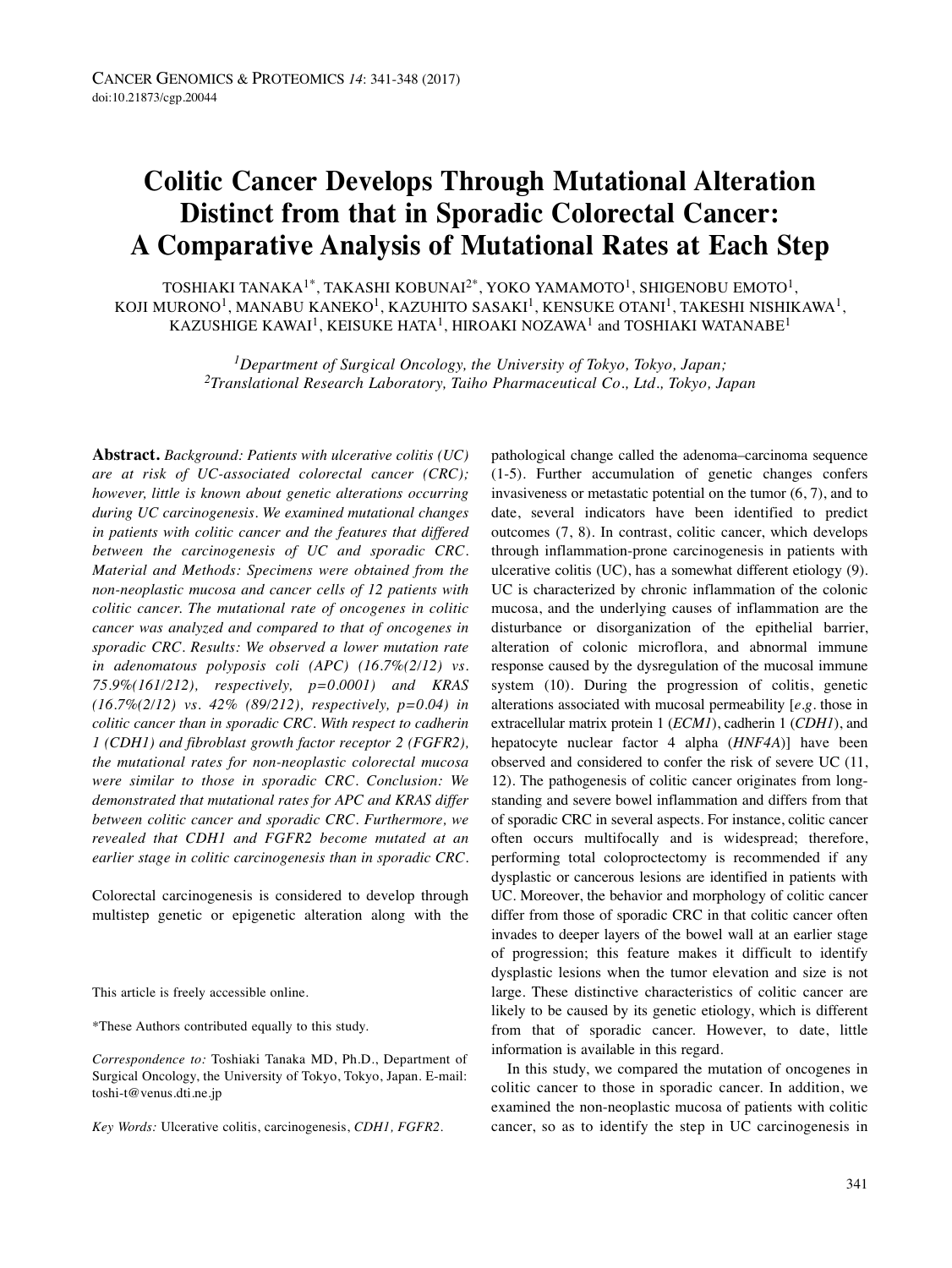# **Colitic Cancer Develops Through Mutational Alteration Distinct from that in Sporadic Colorectal Cancer: A Comparative Analysis of Mutational Rates at Each Step**

TOSHIAKI TANAKA $^{1*}$ , TAKASHI KOBUNAI $^{2*}$ , YOKO YAMAMOTO $^{1}$ , SHIGENOBU EMOTO $^{1}$ , KOJI MURONO $^1$ , MANABU KANEKO $^1$ , KAZUHITO SASAKI $^1$ , KENSUKE OTANI $^1$ , TAKESHI NISHIKAWA $^1$ , KAZUSHIGE KAWAI<sup>1</sup>, KEISUKE HATA<sup>1</sup>, HIROAKI NOZAWA<sup>1</sup> and TOSHIAKI WATANABE<sup>1</sup>

> *1Department of Surgical Oncology, the University of Tokyo, Tokyo, Japan; 2Translational Research Laboratory, Taiho Pharmaceutical Co., Ltd., Tokyo, Japan*

**Abstract.** *Background: Patients with ulcerative colitis (UC) are at risk of UC-associated colorectal cancer (CRC); however, little is known about genetic alterations occurring during UC carcinogenesis. We examined mutational changes in patients with colitic cancer and the features that differed between the carcinogenesis of UC and sporadic CRC. Material and Methods: Specimens were obtained from the non-neoplastic mucosa and cancer cells of 12 patients with colitic cancer. The mutational rate of oncogenes in colitic cancer was analyzed and compared to that of oncogenes in sporadic CRC. Results: We observed a lower mutation rate in adenomatous polyposis coli (APC) (16.7%(2/12) vs. 75.9%(161/212), respectively, p=0.0001) and KRAS (16.7%(2/12) vs. 42% (89/212), respectively, p=0.04) in colitic cancer than in sporadic CRC. With respect to cadherin 1 (CDH1) and fibroblast growth factor receptor 2 (FGFR2), the mutational rates for non-neoplastic colorectal mucosa were similar to those in sporadic CRC. Conclusion: We demonstrated that mutational rates for APC and KRAS differ between colitic cancer and sporadic CRC. Furthermore, we revealed that CDH1 and FGFR2 become mutated at an earlier stage in colitic carcinogenesis than in sporadic CRC.*

Colorectal carcinogenesis is considered to develop through multistep genetic or epigenetic alteration along with the

This article is freely accessible online.

\*These Authors contributed equally to this study.

*Correspondence to:* Toshiaki Tanaka MD, Ph.D., Department of Surgical Oncology, the University of Tokyo, Tokyo, Japan. E-mail: toshi-t@venus.dti.ne.jp

*Key Words:* Ulcerative colitis, carcinogenesis, *CDH1, FGFR2.*

pathological change called the adenoma–carcinoma sequence (1-5). Further accumulation of genetic changes confers invasiveness or metastatic potential on the tumor (6, 7), and to date, several indicators have been identified to predict outcomes (7, 8). In contrast, colitic cancer, which develops through inflammation-prone carcinogenesis in patients with ulcerative colitis (UC), has a somewhat different etiology (9). UC is characterized by chronic inflammation of the colonic mucosa, and the underlying causes of inflammation are the disturbance or disorganization of the epithelial barrier, alteration of colonic microflora, and abnormal immune response caused by the dysregulation of the mucosal immune system (10). During the progression of colitis, genetic alterations associated with mucosal permeability [*e.g.* those in extracellular matrix protein 1 (*ECM1*), cadherin 1 (*CDH1*), and hepatocyte nuclear factor 4 alpha (*HNF4A*)] have been observed and considered to confer the risk of severe UC (11, 12). The pathogenesis of colitic cancer originates from longstanding and severe bowel inflammation and differs from that of sporadic CRC in several aspects. For instance, colitic cancer often occurs multifocally and is widespread; therefore, performing total coloproctectomy is recommended if any dysplastic or cancerous lesions are identified in patients with UC. Moreover, the behavior and morphology of colitic cancer differ from those of sporadic CRC in that colitic cancer often invades to deeper layers of the bowel wall at an earlier stage of progression; this feature makes it difficult to identify dysplastic lesions when the tumor elevation and size is not large. These distinctive characteristics of colitic cancer are likely to be caused by its genetic etiology, which is different from that of sporadic cancer. However, to date, little information is available in this regard.

In this study, we compared the mutation of oncogenes in colitic cancer to those in sporadic cancer. In addition, we examined the non-neoplastic mucosa of patients with colitic cancer, so as to identify the step in UC carcinogenesis in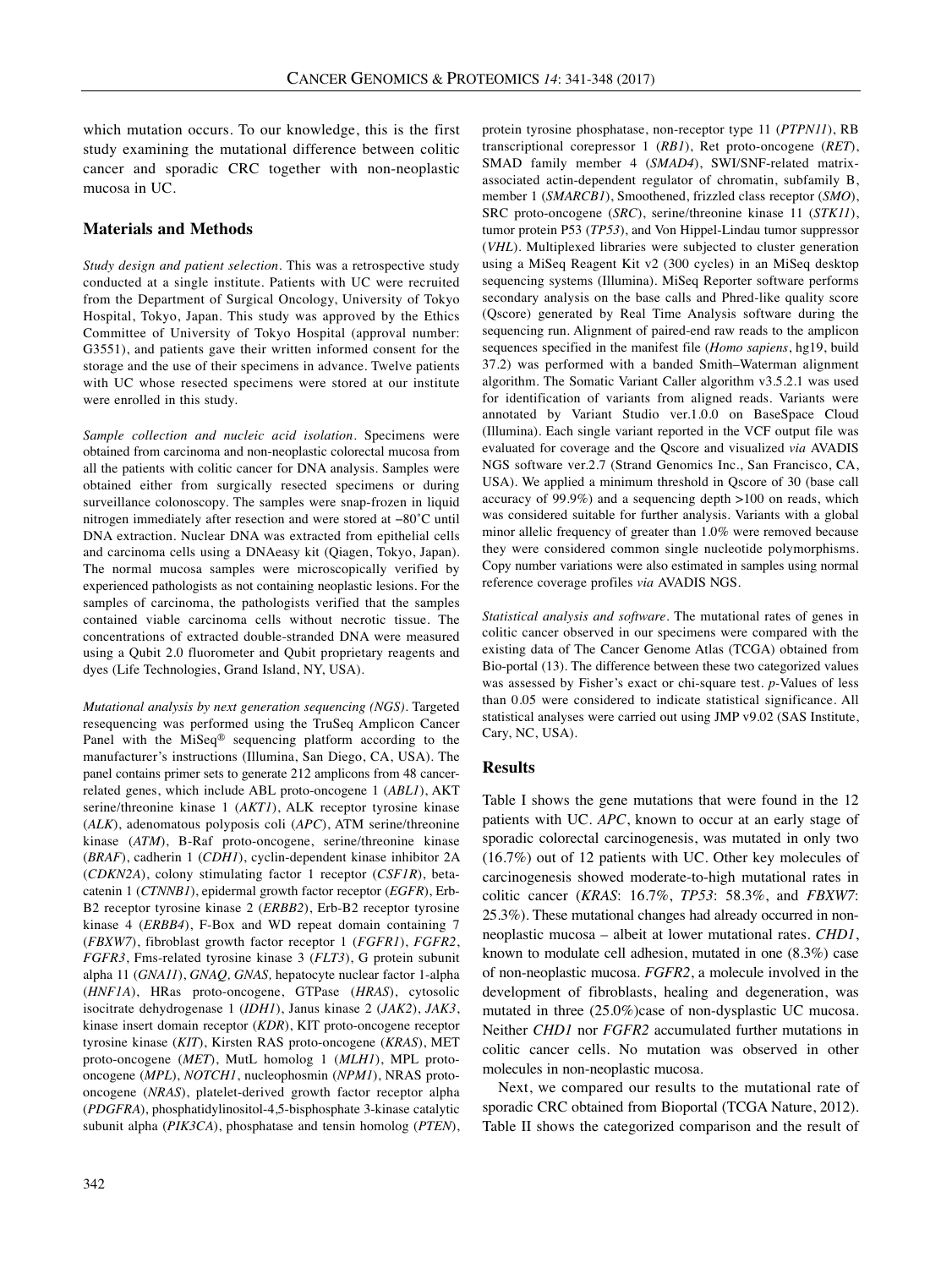which mutation occurs. To our knowledge, this is the first study examining the mutational difference between colitic cancer and sporadic CRC together with non-neoplastic mucosa in UC.

## **Materials and Methods**

*Study design and patient selection.* This was a retrospective study conducted at a single institute. Patients with UC were recruited from the Department of Surgical Oncology, University of Tokyo Hospital, Tokyo, Japan. This study was approved by the Ethics Committee of University of Tokyo Hospital (approval number: G3551), and patients gave their written informed consent for the storage and the use of their specimens in advance. Twelve patients with UC whose resected specimens were stored at our institute were enrolled in this study.

*Sample collection and nucleic acid isolation.* Specimens were obtained from carcinoma and non-neoplastic colorectal mucosa from all the patients with colitic cancer for DNA analysis. Samples were obtained either from surgically resected specimens or during surveillance colonoscopy. The samples were snap-frozen in liquid nitrogen immediately after resection and were stored at −80˚C until DNA extraction. Nuclear DNA was extracted from epithelial cells and carcinoma cells using a DNAeasy kit (Qiagen, Tokyo, Japan). The normal mucosa samples were microscopically verified by experienced pathologists as not containing neoplastic lesions. For the samples of carcinoma, the pathologists verified that the samples contained viable carcinoma cells without necrotic tissue. The concentrations of extracted double-stranded DNA were measured using a Qubit 2.0 fluorometer and Qubit proprietary reagents and dyes (Life Technologies, Grand Island, NY, USA).

*Mutational analysis by next generation sequencing (NGS).* Targeted resequencing was performed using the TruSeq Amplicon Cancer Panel with the MiSeq® sequencing platform according to the manufacturer's instructions (Illumina, San Diego, CA, USA). The panel contains primer sets to generate 212 amplicons from 48 cancerrelated genes, which include ABL proto-oncogene 1 (*ABL1*), AKT serine/threonine kinase 1 (*AKT1*), ALK receptor tyrosine kinase (*ALK*), adenomatous polyposis coli (*APC*), ATM serine/threonine kinase (*ATM*), B-Raf proto-oncogene, serine/threonine kinase (*BRAF*), cadherin 1 (*CDH1*), cyclin-dependent kinase inhibitor 2A (*CDKN2A*), colony stimulating factor 1 receptor (*CSF1R*), betacatenin 1 (*CTNNB1*), epidermal growth factor receptor (*EGFR*), Erb-B2 receptor tyrosine kinase 2 (*ERBB2*), Erb-B2 receptor tyrosine kinase 4 (*ERBB4*), F-Box and WD repeat domain containing 7 (*FBXW7*), fibroblast growth factor receptor 1 (*FGFR1*), *FGFR2*, *FGFR3*, Fms-related tyrosine kinase 3 (*FLT3*), G protein subunit alpha 11 (*GNA11*), *GNAQ, GNAS,* hepatocyte nuclear factor 1-alpha (*HNF1A*), HRas proto-oncogene, GTPase (*HRAS*), cytosolic isocitrate dehydrogenase 1 (*IDH1*), Janus kinase 2 (*JAK2*), *JAK3*, kinase insert domain receptor (*KDR*), KIT proto-oncogene receptor tyrosine kinase (*KIT*), Kirsten RAS proto-oncogene (*KRAS*), MET proto-oncogene (*MET*), MutL homolog 1 (*MLH1*), MPL protooncogene (*MPL*), *NOTCH1*, nucleophosmin (*NPM1*), NRAS protooncogene (*NRAS*), platelet-derived growth factor receptor alpha (*PDGFRA*), phosphatidylinositol-4,5-bisphosphate 3-kinase catalytic subunit alpha (*PIK3CA*), phosphatase and tensin homolog (*PTEN*), protein tyrosine phosphatase, non-receptor type 11 (*PTPN11*), RB transcriptional corepressor 1 (*RB1*), Ret proto-oncogene (*RET*), SMAD family member 4 (*SMAD4*), SWI/SNF-related matrixassociated actin-dependent regulator of chromatin, subfamily B, member 1 (*SMARCB1*), Smoothened, frizzled class receptor (*SMO*), SRC proto-oncogene (*SRC*), serine/threonine kinase 11 (*STK11*), tumor protein P53 (*TP53*), and Von Hippel-Lindau tumor suppressor (*VHL*). Multiplexed libraries were subjected to cluster generation using a MiSeq Reagent Kit v2 (300 cycles) in an MiSeq desktop sequencing systems (Illumina). MiSeq Reporter software performs secondary analysis on the base calls and Phred-like quality score (Qscore) generated by Real Time Analysis software during the sequencing run. Alignment of paired-end raw reads to the amplicon sequences specified in the manifest file (*Homo sapiens*, hg19, build 37.2) was performed with a banded Smith–Waterman alignment algorithm. The Somatic Variant Caller algorithm v3.5.2.1 was used for identification of variants from aligned reads. Variants were annotated by Variant Studio ver.1.0.0 on BaseSpace Cloud (Illumina). Each single variant reported in the VCF output file was evaluated for coverage and the Qscore and visualized *via* AVADIS NGS software ver.2.7 (Strand Genomics Inc., San Francisco, CA, USA). We applied a minimum threshold in Qscore of 30 (base call accuracy of 99.9%) and a sequencing depth >100 on reads, which was considered suitable for further analysis. Variants with a global minor allelic frequency of greater than 1.0% were removed because they were considered common single nucleotide polymorphisms. Copy number variations were also estimated in samples using normal reference coverage profiles *via* AVADIS NGS.

*Statistical analysis and software.* The mutational rates of genes in colitic cancer observed in our specimens were compared with the existing data of The Cancer Genome Atlas (TCGA) obtained from Bio-portal (13). The difference between these two categorized values was assessed by Fisher's exact or chi-square test. *p-*Values of less than 0.05 were considered to indicate statistical significance. All statistical analyses were carried out using JMP v9.02 (SAS Institute, Cary, NC, USA).

#### **Results**

Table I shows the gene mutations that were found in the 12 patients with UC. *APC*, known to occur at an early stage of sporadic colorectal carcinogenesis, was mutated in only two (16.7%) out of 12 patients with UC. Other key molecules of carcinogenesis showed moderate-to-high mutational rates in colitic cancer (*KRAS*: 16.7%, *TP53*: 58.3%, and *FBXW7*: 25.3%). These mutational changes had already occurred in nonneoplastic mucosa – albeit at lower mutational rates. *CHD1*, known to modulate cell adhesion, mutated in one (8.3%) case of non-neoplastic mucosa. *FGFR2*, a molecule involved in the development of fibroblasts, healing and degeneration, was mutated in three (25.0%)case of non-dysplastic UC mucosa. Neither *CHD1* nor *FGFR2* accumulated further mutations in colitic cancer cells. No mutation was observed in other molecules in non-neoplastic mucosa.

Next, we compared our results to the mutational rate of sporadic CRC obtained from Bioportal (TCGA Nature, 2012). Table II shows the categorized comparison and the result of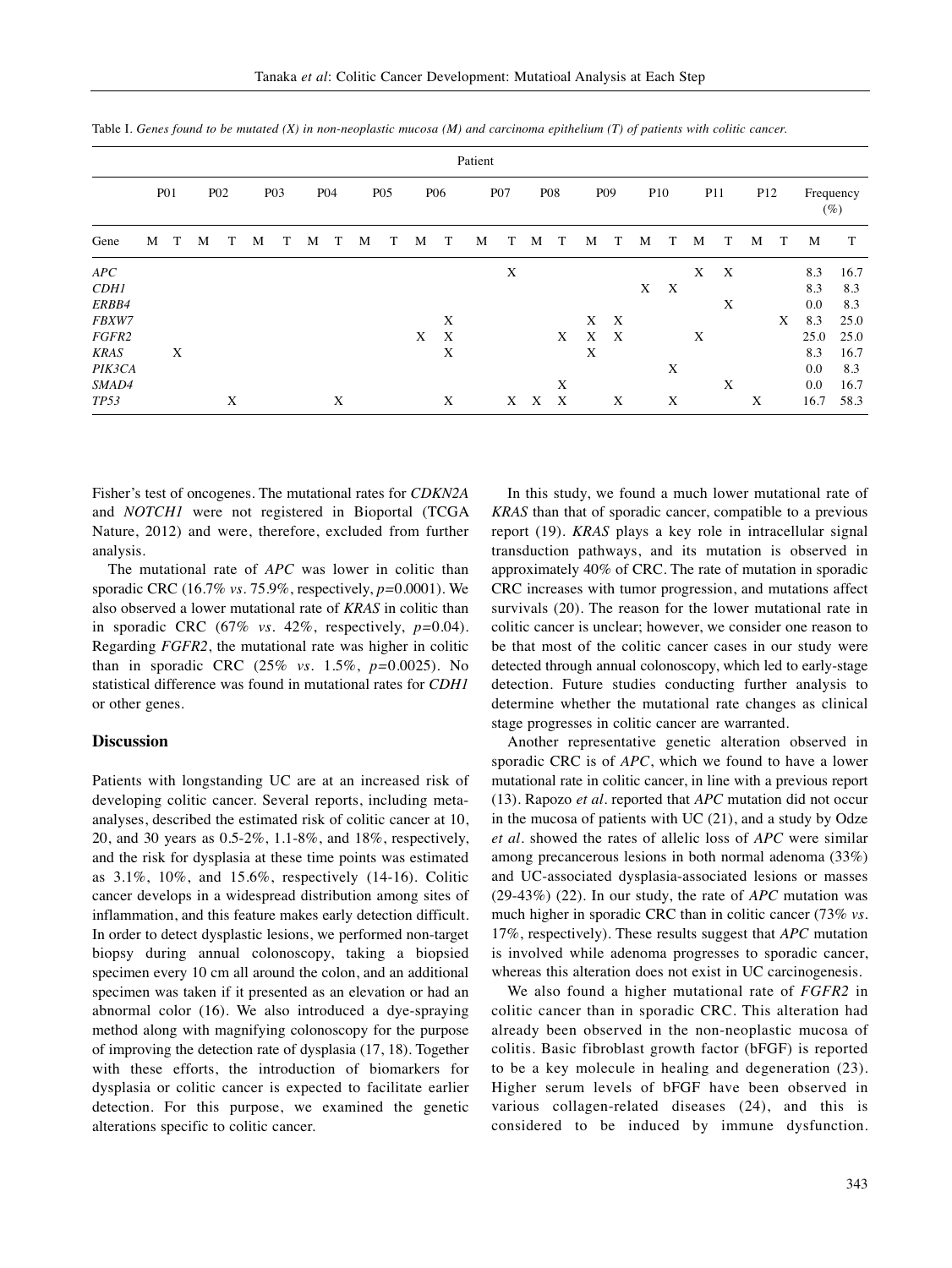|             | Patient |            |   |                  |   |                  |   |            |   |                 |   |            |   |                  |   |            |   |                           |            |                           |   |                 |                 |   |           |      |
|-------------|---------|------------|---|------------------|---|------------------|---|------------|---|-----------------|---|------------|---|------------------|---|------------|---|---------------------------|------------|---------------------------|---|-----------------|-----------------|---|-----------|------|
|             |         | <b>P01</b> |   | P <sub>0</sub> 2 |   | P <sub>0</sub> 3 |   | <b>PO4</b> |   | P <sub>05</sub> |   | <b>P06</b> |   | P <sub>0</sub> 7 |   | <b>P08</b> |   | P <sub>09</sub>           | <b>P10</b> |                           |   | P <sub>11</sub> | P <sub>12</sub> |   | Frequency | (%)  |
| Gene        | M       | Т          | M | т                | М | T                | М | T          | M | T               | M | T          | M | T                | M | T          | M | T                         | М          | T                         | M | T               | М               | T | M         | Т    |
| APC         |         |            |   |                  |   |                  |   |            |   |                 |   |            |   | X                |   |            |   |                           |            |                           | X | X               |                 |   | 8.3       | 16.7 |
| <b>CDH1</b> |         |            |   |                  |   |                  |   |            |   |                 |   |            |   |                  |   |            |   |                           | X          | $\boldsymbol{\mathrm{X}}$ |   |                 |                 |   | 8.3       | 8.3  |
| ERBB4       |         |            |   |                  |   |                  |   |            |   |                 |   |            |   |                  |   |            |   |                           |            |                           |   | X               |                 |   | 0.0       | 8.3  |
| FBXW7       |         |            |   |                  |   |                  |   |            |   |                 |   | X          |   |                  |   |            | X | $\boldsymbol{\mathrm{X}}$ |            |                           |   |                 |                 | X | 8.3       | 25.0 |
| FGFR2       |         |            |   |                  |   |                  |   |            |   |                 | X | X          |   |                  |   | X          | X | $\boldsymbol{\mathrm{X}}$ |            |                           | X |                 |                 |   | 25.0      | 25.0 |
| <b>KRAS</b> |         | X          |   |                  |   |                  |   |            |   |                 |   | X          |   |                  |   |            | X |                           |            |                           |   |                 |                 |   | 8.3       | 16.7 |
| PIK3CA      |         |            |   |                  |   |                  |   |            |   |                 |   |            |   |                  |   |            |   |                           |            | X                         |   |                 |                 |   | 0.0       | 8.3  |
| SMAD4       |         |            |   |                  |   |                  |   |            |   |                 |   |            |   |                  |   | X          |   |                           |            |                           |   | X               |                 |   | 0.0       | 16.7 |
| TP53        |         |            |   | X                |   |                  |   | X          |   |                 |   | X          |   | X                | X | X          |   | X                         |            | X                         |   |                 | X               |   | 16.7      | 58.3 |

Table I. Genes found to be mutated  $(X)$  in non-neoplastic mucosa  $(M)$  and carcinoma epithelium  $(T)$  of patients with colitic cancer.

Fisher's test of oncogenes. The mutational rates for *CDKN2A* and *NOTCH1* were not registered in Bioportal (TCGA Nature, 2012) and were, therefore, excluded from further analysis.

The mutational rate of *APC* was lower in colitic than sporadic CRC (16.7% *vs.* 75.9%, respectively, *p=*0.0001). We also observed a lower mutational rate of *KRAS* in colitic than in sporadic CRC (67% *vs.* 42%, respectively, *p=*0.04). Regarding *FGFR2*, the mutational rate was higher in colitic than in sporadic CRC (25% *vs.* 1.5%, *p=*0.0025). No statistical difference was found in mutational rates for *CDH1* or other genes.

## **Discussion**

Patients with longstanding UC are at an increased risk of developing colitic cancer. Several reports, including metaanalyses, described the estimated risk of colitic cancer at 10, 20, and 30 years as 0.5-2%, 1.1-8%, and 18%, respectively, and the risk for dysplasia at these time points was estimated as 3.1%, 10%, and 15.6%, respectively (14-16). Colitic cancer develops in a widespread distribution among sites of inflammation, and this feature makes early detection difficult. In order to detect dysplastic lesions, we performed non-target biopsy during annual colonoscopy, taking a biopsied specimen every 10 cm all around the colon, and an additional specimen was taken if it presented as an elevation or had an abnormal color (16). We also introduced a dye-spraying method along with magnifying colonoscopy for the purpose of improving the detection rate of dysplasia (17, 18). Together with these efforts, the introduction of biomarkers for dysplasia or colitic cancer is expected to facilitate earlier detection. For this purpose, we examined the genetic alterations specific to colitic cancer.

In this study, we found a much lower mutational rate of *KRAS* than that of sporadic cancer, compatible to a previous report (19). *KRAS* plays a key role in intracellular signal transduction pathways, and its mutation is observed in approximately 40% of CRC. The rate of mutation in sporadic CRC increases with tumor progression, and mutations affect survivals (20). The reason for the lower mutational rate in colitic cancer is unclear; however, we consider one reason to be that most of the colitic cancer cases in our study were detected through annual colonoscopy, which led to early-stage detection. Future studies conducting further analysis to determine whether the mutational rate changes as clinical stage progresses in colitic cancer are warranted.

Another representative genetic alteration observed in sporadic CRC is of *APC*, which we found to have a lower mutational rate in colitic cancer, in line with a previous report (13). Rapozo *et al.* reported that *APC* mutation did not occur in the mucosa of patients with UC (21), and a study by Odze *et al.* showed the rates of allelic loss of *APC* were similar among precancerous lesions in both normal adenoma (33%) and UC-associated dysplasia-associated lesions or masses (29-43%) (22). In our study, the rate of *APC* mutation was much higher in sporadic CRC than in colitic cancer (73% *vs.* 17%, respectively). These results suggest that *APC* mutation is involved while adenoma progresses to sporadic cancer, whereas this alteration does not exist in UC carcinogenesis.

We also found a higher mutational rate of *FGFR2* in colitic cancer than in sporadic CRC. This alteration had already been observed in the non-neoplastic mucosa of colitis. Basic fibroblast growth factor (bFGF) is reported to be a key molecule in healing and degeneration (23). Higher serum levels of bFGF have been observed in various collagen-related diseases (24), and this is considered to be induced by immune dysfunction.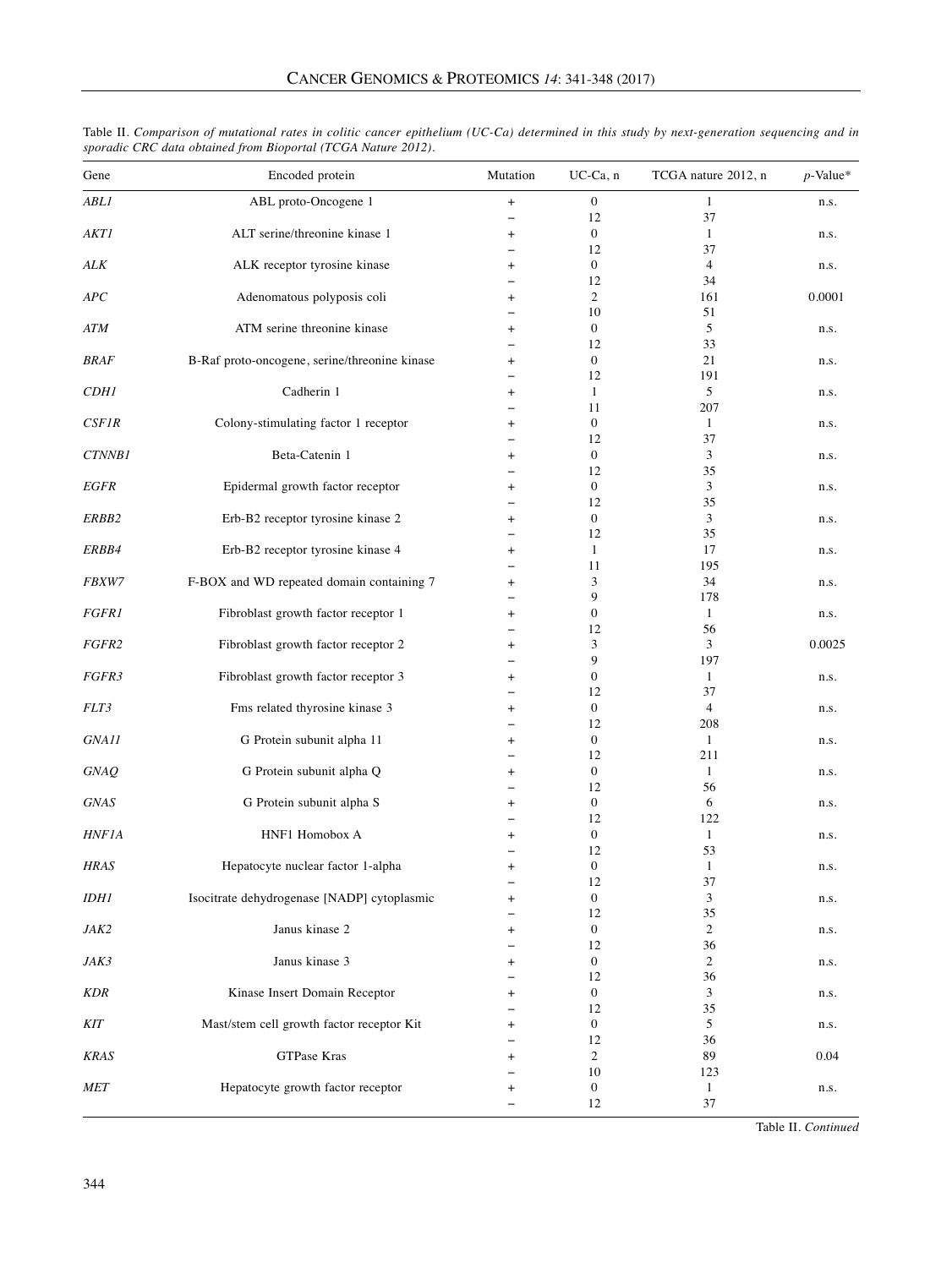| Gene               | Encoded protein                               | Mutation                 | UC-Ca, n               | TCGA nature 2012, n | $p$ -Value* |
|--------------------|-----------------------------------------------|--------------------------|------------------------|---------------------|-------------|
| ABL1               | ABL proto-Oncogene 1                          | $\ddot{}$                | 0                      | 1                   | n.s.        |
|                    |                                               | $\overline{\phantom{0}}$ | 12                     | 37                  |             |
| AKT1               | ALT serine/threonine kinase 1                 | $\ddot{}$                | $\boldsymbol{0}$       | $\mathbf{1}$        | n.s.        |
| ALK                | ALK receptor tyrosine kinase                  |                          | 12<br>$\boldsymbol{0}$ | 37<br>4             |             |
|                    |                                               | $\pmb{+}$                | 12                     | 34                  | n.s.        |
| APC                | Adenomatous polyposis coli                    | $\ddot{}$                | $\overline{c}$         | 161                 | 0.0001      |
|                    |                                               |                          | 10                     | 51                  |             |
| <b>ATM</b>         | ATM serine threonine kinase                   | $\ddot{}$                | $\boldsymbol{0}$       | 5                   | n.s.        |
|                    |                                               |                          | 12                     | 33                  |             |
| <b>BRAF</b>        | B-Raf proto-oncogene, serine/threonine kinase | $\ddot{}$                | $\boldsymbol{0}$       | 21                  | n.s.        |
|                    |                                               |                          | 12                     | 191                 |             |
| <b>CDH1</b>        | Cadherin 1                                    | $\ddot{}$                | $\mathbf{1}$           | 5                   | n.s.        |
|                    |                                               |                          | 11                     | 207                 |             |
| CSFIR              | Colony-stimulating factor 1 receptor          | $\ddot{}$                | $\boldsymbol{0}$       | $\mathbf{1}$        | n.s.        |
|                    |                                               |                          | 12                     | 37                  |             |
| CTNNB1             | Beta-Catenin 1                                | $\ddot{}$                | $\boldsymbol{0}$       | 3                   | n.s.        |
|                    |                                               | $\overline{\phantom{0}}$ | 12                     | 35                  |             |
| EGFR               | Epidermal growth factor receptor              | $\ddot{}$                | $\boldsymbol{0}$       | 3                   | n.s.        |
|                    |                                               |                          | 12                     | 35                  |             |
| ERBB2              | Erb-B2 receptor tyrosine kinase 2             | $\ddot{}$                | $\boldsymbol{0}$       | 3                   | n.s.        |
|                    |                                               |                          | 12                     | 35                  |             |
| ERBB4              | Erb-B2 receptor tyrosine kinase 4             | $\ddot{}$                | $\mathbf{1}$           | 17                  | n.s.        |
|                    |                                               |                          | 11                     | 195                 |             |
| FBXW7              | F-BOX and WD repeated domain containing 7     | $\overline{+}$           | 3                      | 34                  | n.s.        |
|                    |                                               | $\overline{\phantom{0}}$ | 9                      | 178                 |             |
| <b>FGFR1</b>       | Fibroblast growth factor receptor 1           | $\ddot{}$                | $\boldsymbol{0}$       | 1                   | n.s.        |
|                    |                                               |                          | 12                     | 56                  |             |
| FGFR2              | Fibroblast growth factor receptor 2           | $\ddot{}$                | 3                      | 3                   | 0.0025      |
|                    |                                               |                          | 9                      | 197                 |             |
| FGFR3              | Fibroblast growth factor receptor 3           | $\ddot{}$                | $\boldsymbol{0}$       | 1                   | n.s.        |
|                    |                                               |                          | 12                     | 37                  |             |
| FLT3               | Fms related thyrosine kinase 3                | $\ddot{}$                | $\boldsymbol{0}$       | 4                   | n.s.        |
|                    |                                               |                          | 12                     | 208                 |             |
| GNA11              | G Protein subunit alpha 11                    | $\ddot{}$                | $\boldsymbol{0}$       | $\mathbf{1}$        | n.s.        |
|                    |                                               |                          | 12                     | 211                 |             |
| $GN\!A\mathcal{Q}$ | G Protein subunit alpha Q                     | $\pmb{+}$                | $\boldsymbol{0}$       | 1<br>56             | n.s.        |
|                    |                                               |                          | 12<br>$\mathbf{0}$     | 6                   |             |
| GNAS               | G Protein subunit alpha S                     | $\ddot{}$                | 12                     | 122                 | n.s.        |
| <b>HNF1A</b>       | HNF1 Homobox A                                |                          | $\boldsymbol{0}$       | $\mathbf{1}$        |             |
|                    |                                               | $\ddot{}$                | 12                     | 53                  | n.s.        |
| <b>HRAS</b>        | Hepatocyte nuclear factor 1-alpha             | $\ddot{}$                | $\boldsymbol{0}$       | $\mathbf{1}$        | n.s.        |
|                    |                                               |                          | 12                     | 37                  |             |
| <b>IDH1</b>        | Isocitrate dehydrogenase [NADP] cytoplasmic   | $\pmb{+}$                | 0                      | 3                   | n.s.        |
|                    |                                               |                          | 12                     | 35                  |             |
| JAK2               | Janus kinase 2                                | $\ddot{}$                | $\boldsymbol{0}$       | $\overline{c}$      | n.s.        |
|                    |                                               |                          | 12                     | 36                  |             |
| JAK3               | Janus kinase 3                                | $^+$                     | $\boldsymbol{0}$       | 2                   | n.s.        |
|                    |                                               |                          | 12                     | 36                  |             |
| <b>KDR</b>         | Kinase Insert Domain Receptor                 | +                        | $\boldsymbol{0}$       | 3                   | n.s.        |
|                    |                                               |                          | 12                     | 35                  |             |
| KIT                | Mast/stem cell growth factor receptor Kit     | +                        | $\boldsymbol{0}$       | 5                   | n.s.        |
|                    |                                               |                          | 12                     | 36                  |             |
| <b>KRAS</b>        | GTPase Kras                                   | $\pmb{+}$                | 2                      | 89                  | 0.04        |
|                    |                                               |                          | 10                     | 123                 |             |
| MET                | Hepatocyte growth factor receptor             | $\pmb{+}$                | $\boldsymbol{0}$       | 1                   | n.s.        |
|                    |                                               |                          | 12                     | 37                  |             |

Table II. Comparison of mutational rates in colitic cancer epithelium (UC-Ca) determined in this study by next-generation sequencing and in *sporadic CRC data obtained from Bioportal (TCGA Nature 2012).*

Table II. *Continued*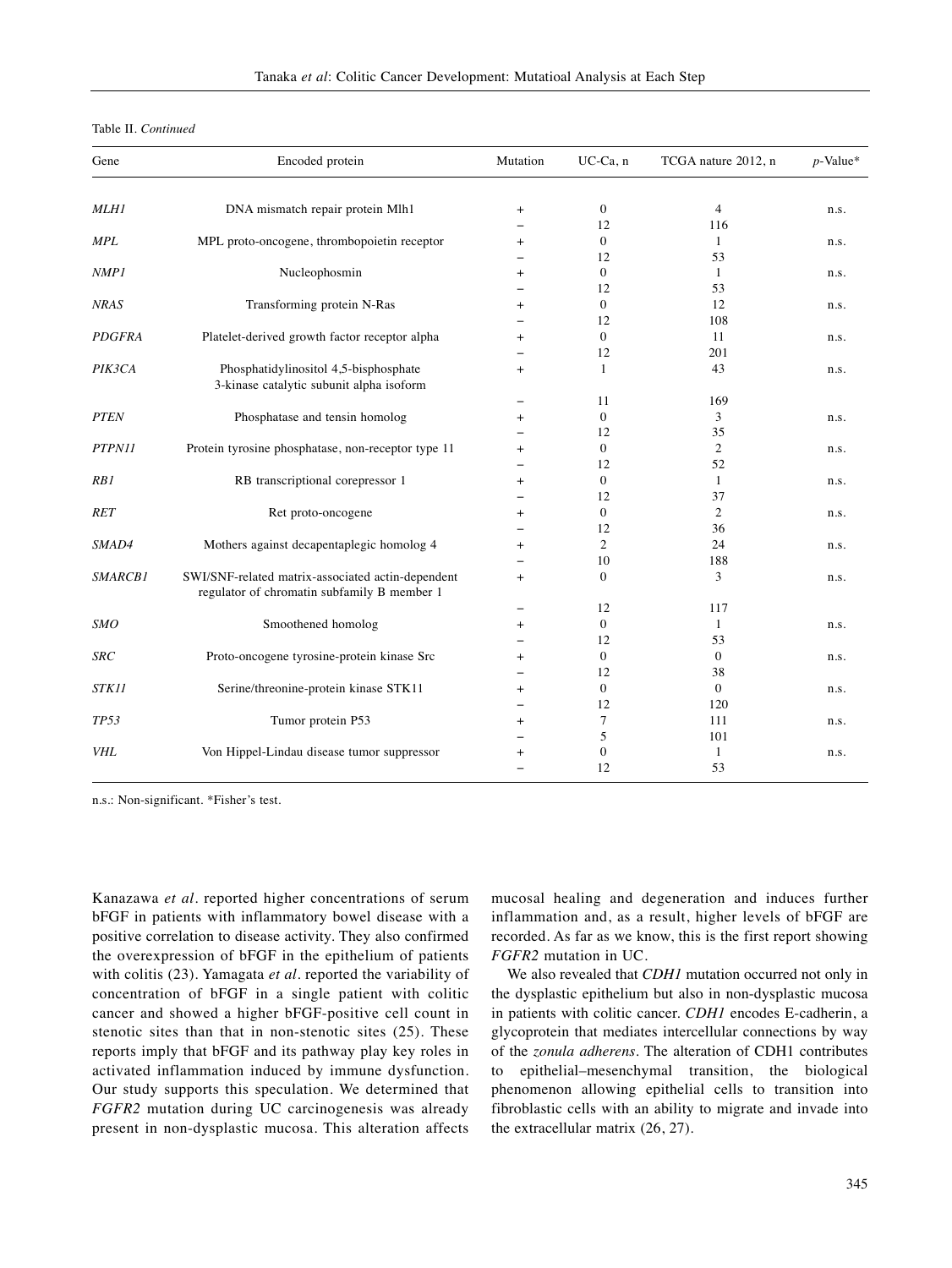| Gene          | Encoded protein                                                                                  | Mutation                 | UC-Ca, n       | TCGA nature 2012, n | $p$ -Value* |
|---------------|--------------------------------------------------------------------------------------------------|--------------------------|----------------|---------------------|-------------|
|               |                                                                                                  |                          |                |                     |             |
| <b>MLH1</b>   | DNA mismatch repair protein Mlh1                                                                 | $^{+}$                   | $\mathbf{0}$   | $\overline{4}$      | n.s.        |
|               |                                                                                                  |                          | 12             | 116                 |             |
| <b>MPL</b>    | MPL proto-oncogene, thrombopoietin receptor                                                      | $\ddot{}$                | $\overline{0}$ | 1                   | n.s.        |
|               |                                                                                                  |                          | 12             | 53                  |             |
| NMP1          | Nucleophosmin                                                                                    | $\ddot{}$                | $\overline{0}$ | $\mathbf{1}$        | n.s.        |
|               |                                                                                                  |                          | 12             | 53                  |             |
| <b>NRAS</b>   | Transforming protein N-Ras                                                                       | $+$                      | $\overline{0}$ | 12                  | n.s.        |
|               |                                                                                                  |                          | 12             | 108                 |             |
| <b>PDGFRA</b> | Platelet-derived growth factor receptor alpha                                                    | $\ddot{}$                | $\overline{0}$ | 11                  | n.s.        |
|               |                                                                                                  |                          | 12             | 201                 |             |
| PIK3CA        | Phosphatidylinositol 4,5-bisphosphate<br>3-kinase catalytic subunit alpha isoform                | $^{+}$                   | 1              | 43                  | n.s.        |
|               |                                                                                                  | $\overline{\phantom{0}}$ | 11             | 169                 |             |
| <b>PTEN</b>   | Phosphatase and tensin homolog                                                                   | $\ddot{}$                | $\overline{0}$ | 3                   | n.s.        |
|               |                                                                                                  |                          | 12             | 35                  |             |
| PTPN11        | Protein tyrosine phosphatase, non-receptor type 11                                               | $\ddot{}$                | $\overline{0}$ | $\overline{c}$      | n.s.        |
|               |                                                                                                  |                          | 12             | 52                  |             |
| RB1           | RB transcriptional corepressor 1                                                                 | $\ddot{}$                | $\overline{0}$ | $\mathbf{1}$        | n.s.        |
|               |                                                                                                  |                          | 12             | 37                  |             |
| <b>RET</b>    | Ret proto-oncogene                                                                               | $^{+}$                   | $\overline{0}$ | 2                   | n.s.        |
|               |                                                                                                  |                          | 12             | 36                  |             |
| SMAD4         | Mothers against decapentaplegic homolog 4                                                        | $+$                      | 2              | 24                  | n.s.        |
|               |                                                                                                  |                          | 10             | 188                 |             |
| SMARCB1       | SWI/SNF-related matrix-associated actin-dependent<br>regulator of chromatin subfamily B member 1 | $+$                      | $\overline{0}$ | 3                   | n.s.        |
|               |                                                                                                  |                          | 12             | 117                 |             |
| <b>SMO</b>    | Smoothened homolog                                                                               | $+$                      | $\overline{0}$ | $\mathbf{1}$        | n.s.        |
|               |                                                                                                  |                          | 12             | 53                  |             |
| <b>SRC</b>    | Proto-oncogene tyrosine-protein kinase Src                                                       | $^{+}$                   | $\overline{0}$ | $\mathbf{0}$        | n.s.        |
|               |                                                                                                  |                          | 12             | 38                  |             |
| STK11         | Serine/threonine-protein kinase STK11                                                            | $^{+}$                   | $\mathbf{0}$   | $\mathbf{0}$        | n.s.        |
|               |                                                                                                  |                          | 12             | 120                 |             |
| <b>TP53</b>   | Tumor protein P53                                                                                | $\ddot{}$                | $\tau$         | 111                 | n.s.        |
|               |                                                                                                  |                          | 5              | 101                 |             |
| <b>VHL</b>    | Von Hippel-Lindau disease tumor suppressor                                                       | $\ddot{}$                | $\mathbf{0}$   | $\mathbf{1}$        | n.s.        |
|               |                                                                                                  | $\overline{\phantom{a}}$ | 12             | 53                  |             |

n.s.: Non-significant. \*Fisher's test.

Kanazawa *et al.* reported higher concentrations of serum bFGF in patients with inflammatory bowel disease with a positive correlation to disease activity. They also confirmed the overexpression of bFGF in the epithelium of patients with colitis (23). Yamagata *et al.* reported the variability of concentration of bFGF in a single patient with colitic cancer and showed a higher bFGF-positive cell count in stenotic sites than that in non-stenotic sites (25). These reports imply that bFGF and its pathway play key roles in activated inflammation induced by immune dysfunction. Our study supports this speculation. We determined that *FGFR2* mutation during UC carcinogenesis was already present in non-dysplastic mucosa. This alteration affects

mucosal healing and degeneration and induces further inflammation and, as a result, higher levels of bFGF are recorded. As far as we know, this is the first report showing *FGFR2* mutation in UC.

We also revealed that *CDH1* mutation occurred not only in the dysplastic epithelium but also in non-dysplastic mucosa in patients with colitic cancer. *CDH1* encodes E-cadherin, a glycoprotein that mediates intercellular connections by way of the *zonula adherens*. The alteration of CDH1 contributes to epithelial–mesenchymal transition, the biological phenomenon allowing epithelial cells to transition into fibroblastic cells with an ability to migrate and invade into the extracellular matrix (26, 27).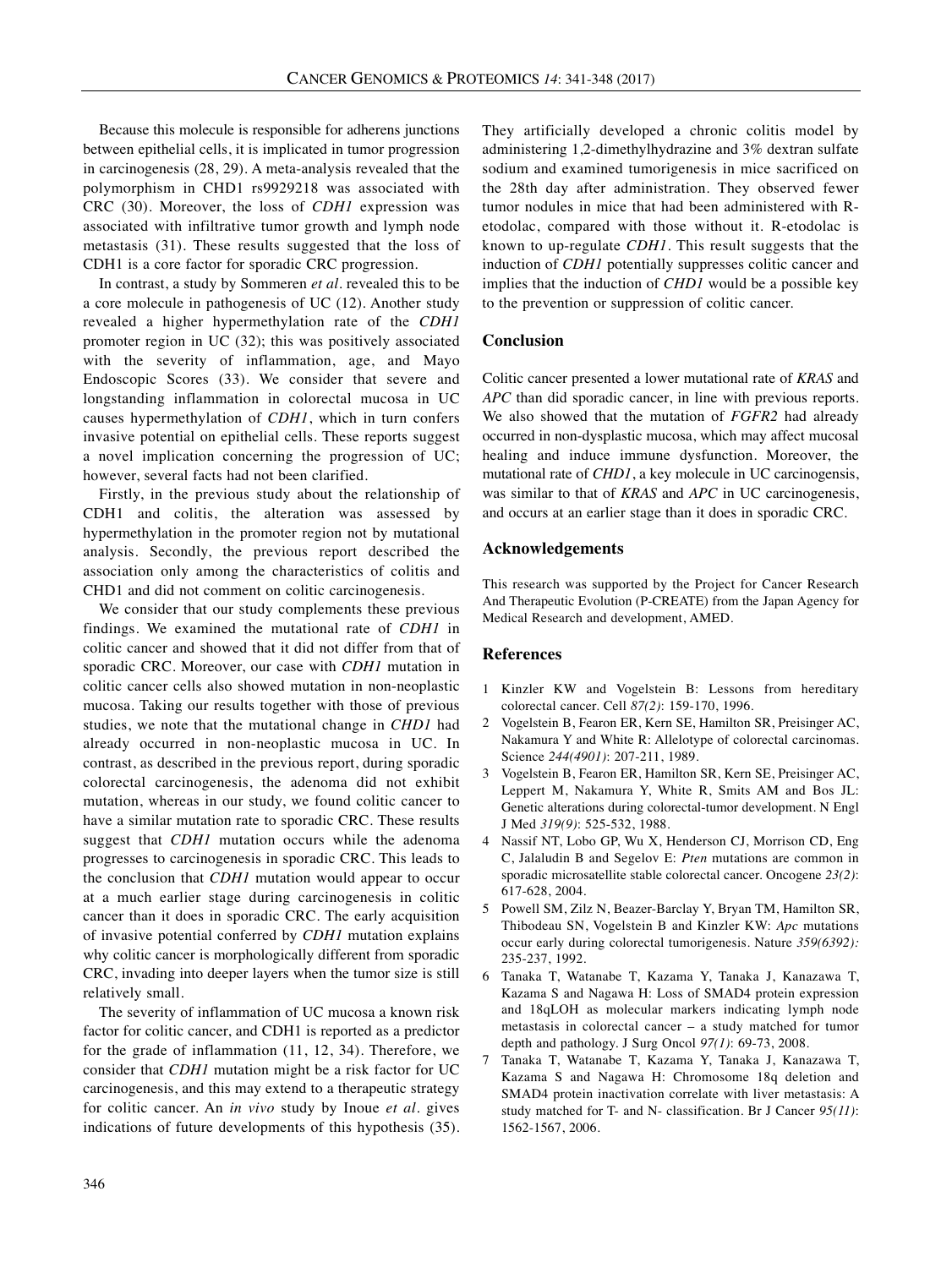Because this molecule is responsible for adherens junctions between epithelial cells, it is implicated in tumor progression in carcinogenesis (28, 29). A meta-analysis revealed that the polymorphism in CHD1 rs9929218 was associated with CRC (30). Moreover, the loss of *CDH1* expression was associated with infiltrative tumor growth and lymph node metastasis (31). These results suggested that the loss of CDH1 is a core factor for sporadic CRC progression.

In contrast, a study by Sommeren *et al.* revealed this to be a core molecule in pathogenesis of UC (12). Another study revealed a higher hypermethylation rate of the *CDH1* promoter region in UC (32); this was positively associated with the severity of inflammation, age, and Mayo Endoscopic Scores (33). We consider that severe and longstanding inflammation in colorectal mucosa in UC causes hypermethylation of *CDH1*, which in turn confers invasive potential on epithelial cells. These reports suggest a novel implication concerning the progression of UC; however, several facts had not been clarified.

Firstly, in the previous study about the relationship of CDH1 and colitis, the alteration was assessed by hypermethylation in the promoter region not by mutational analysis. Secondly, the previous report described the association only among the characteristics of colitis and CHD1 and did not comment on colitic carcinogenesis.

We consider that our study complements these previous findings. We examined the mutational rate of *CDH1* in colitic cancer and showed that it did not differ from that of sporadic CRC. Moreover, our case with *CDH1* mutation in colitic cancer cells also showed mutation in non-neoplastic mucosa. Taking our results together with those of previous studies, we note that the mutational change in *CHD1* had already occurred in non-neoplastic mucosa in UC. In contrast, as described in the previous report, during sporadic colorectal carcinogenesis, the adenoma did not exhibit mutation, whereas in our study, we found colitic cancer to have a similar mutation rate to sporadic CRC. These results suggest that *CDH1* mutation occurs while the adenoma progresses to carcinogenesis in sporadic CRC. This leads to the conclusion that *CDH1* mutation would appear to occur at a much earlier stage during carcinogenesis in colitic cancer than it does in sporadic CRC. The early acquisition of invasive potential conferred by *CDH1* mutation explains why colitic cancer is morphologically different from sporadic CRC, invading into deeper layers when the tumor size is still relatively small.

The severity of inflammation of UC mucosa a known risk factor for colitic cancer, and CDH1 is reported as a predictor for the grade of inflammation (11, 12, 34). Therefore, we consider that *CDH1* mutation might be a risk factor for UC carcinogenesis, and this may extend to a therapeutic strategy for colitic cancer. An *in vivo* study by Inoue *et al.* gives indications of future developments of this hypothesis (35). They artificially developed a chronic colitis model by administering 1,2-dimethylhydrazine and 3% dextran sulfate sodium and examined tumorigenesis in mice sacrificed on the 28th day after administration. They observed fewer tumor nodules in mice that had been administered with Retodolac, compared with those without it. R-etodolac is known to up-regulate *CDH1*. This result suggests that the induction of *CDH1* potentially suppresses colitic cancer and implies that the induction of *CHD1* would be a possible key to the prevention or suppression of colitic cancer.

## **Conclusion**

Colitic cancer presented a lower mutational rate of *KRAS* and *APC* than did sporadic cancer, in line with previous reports. We also showed that the mutation of *FGFR2* had already occurred in non-dysplastic mucosa, which may affect mucosal healing and induce immune dysfunction. Moreover, the mutational rate of *CHD1*, a key molecule in UC carcinogensis, was similar to that of *KRAS* and *APC* in UC carcinogenesis, and occurs at an earlier stage than it does in sporadic CRC.

## **Acknowledgements**

This research was supported by the Project for Cancer Research And Therapeutic Evolution (P-CREATE) from the Japan Agency for Medical Research and development, AMED.

#### **References**

- 1 Kinzler KW and Vogelstein B: Lessons from hereditary colorectal cancer. Cell *87(2)*: 159-170, 1996.
- 2 Vogelstein B, Fearon ER, Kern SE, Hamilton SR, Preisinger AC, Nakamura Y and White R: Allelotype of colorectal carcinomas. Science *244(4901)*: 207-211, 1989.
- 3 Vogelstein B, Fearon ER, Hamilton SR, Kern SE, Preisinger AC, Leppert M, Nakamura Y, White R, Smits AM and Bos JL: Genetic alterations during colorectal-tumor development. N Engl J Med *319(9)*: 525-532, 1988.
- 4 Nassif NT, Lobo GP, Wu X, Henderson CJ, Morrison CD, Eng C, Jalaludin B and Segelov E: *Pten* mutations are common in sporadic microsatellite stable colorectal cancer. Oncogene *23(2)*: 617-628, 2004.
- 5 Powell SM, Zilz N, Beazer-Barclay Y, Bryan TM, Hamilton SR, Thibodeau SN, Vogelstein B and Kinzler KW: *Apc* mutations occur early during colorectal tumorigenesis. Nature *359(6392):* 235-237, 1992.
- 6 Tanaka T, Watanabe T, Kazama Y, Tanaka J, Kanazawa T, Kazama S and Nagawa H: Loss of SMAD4 protein expression and 18qLOH as molecular markers indicating lymph node metastasis in colorectal cancer – a study matched for tumor depth and pathology. J Surg Oncol *97(1)*: 69-73, 2008.
- 7 Tanaka T, Watanabe T, Kazama Y, Tanaka J, Kanazawa T, Kazama S and Nagawa H: Chromosome 18q deletion and SMAD4 protein inactivation correlate with liver metastasis: A study matched for T- and N- classification. Br J Cancer *95(11)*: 1562-1567, 2006.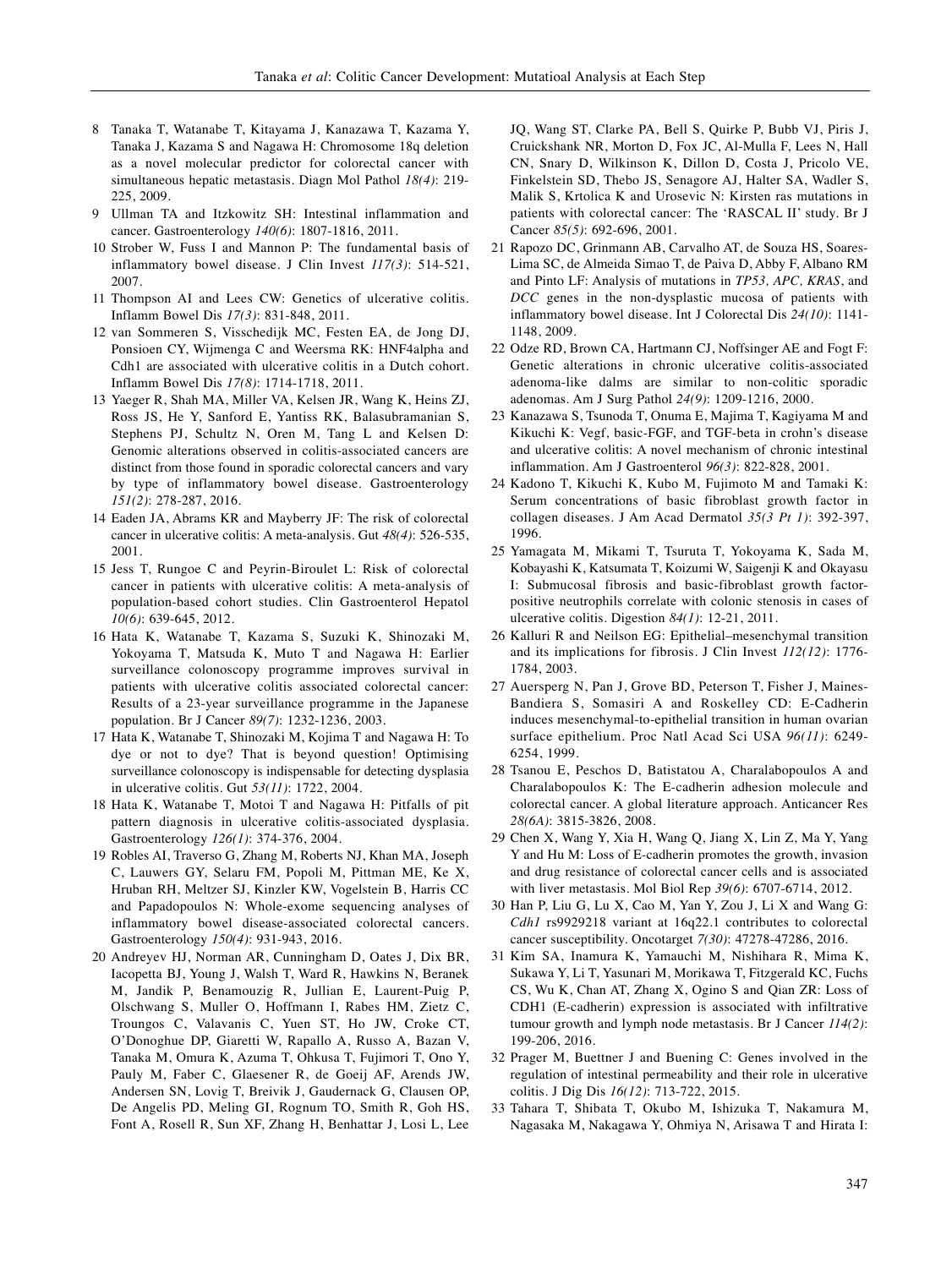- 8 Tanaka T, Watanabe T, Kitayama J, Kanazawa T, Kazama Y, Tanaka J, Kazama S and Nagawa H: Chromosome 18q deletion as a novel molecular predictor for colorectal cancer with simultaneous hepatic metastasis. Diagn Mol Pathol *18(4)*: 219- 225, 2009.
- 9 Ullman TA and Itzkowitz SH: Intestinal inflammation and cancer. Gastroenterology *140(6)*: 1807-1816, 2011.
- 10 Strober W, Fuss I and Mannon P: The fundamental basis of inflammatory bowel disease. J Clin Invest *117(3)*: 514-521, 2007.
- 11 Thompson AI and Lees CW: Genetics of ulcerative colitis. Inflamm Bowel Dis *17(3)*: 831-848, 2011.
- 12 van Sommeren S, Visschedijk MC, Festen EA, de Jong DJ, Ponsioen CY, Wijmenga C and Weersma RK: HNF4alpha and Cdh1 are associated with ulcerative colitis in a Dutch cohort. Inflamm Bowel Dis *17(8)*: 1714-1718, 2011.
- 13 Yaeger R, Shah MA, Miller VA, Kelsen JR, Wang K, Heins ZJ, Ross JS, He Y, Sanford E, Yantiss RK, Balasubramanian S, Stephens PJ, Schultz N, Oren M, Tang L and Kelsen D: Genomic alterations observed in colitis-associated cancers are distinct from those found in sporadic colorectal cancers and vary by type of inflammatory bowel disease. Gastroenterology *151(2)*: 278-287, 2016.
- 14 Eaden JA, Abrams KR and Mayberry JF: The risk of colorectal cancer in ulcerative colitis: A meta-analysis. Gut *48(4)*: 526-535, 2001.
- 15 Jess T, Rungoe C and Peyrin-Biroulet L: Risk of colorectal cancer in patients with ulcerative colitis: A meta-analysis of population-based cohort studies. Clin Gastroenterol Hepatol *10(6)*: 639-645, 2012.
- 16 Hata K, Watanabe T, Kazama S, Suzuki K, Shinozaki M, Yokoyama T, Matsuda K, Muto T and Nagawa H: Earlier surveillance colonoscopy programme improves survival in patients with ulcerative colitis associated colorectal cancer: Results of a 23-year surveillance programme in the Japanese population. Br J Cancer *89(7)*: 1232-1236, 2003.
- 17 Hata K, Watanabe T, Shinozaki M, Kojima T and Nagawa H: To dye or not to dye? That is beyond question! Optimising surveillance colonoscopy is indispensable for detecting dysplasia in ulcerative colitis. Gut *53(11)*: 1722, 2004.
- 18 Hata K, Watanabe T, Motoi T and Nagawa H: Pitfalls of pit pattern diagnosis in ulcerative colitis-associated dysplasia. Gastroenterology *126(1)*: 374-376, 2004.
- 19 Robles AI, Traverso G, Zhang M, Roberts NJ, Khan MA, Joseph C, Lauwers GY, Selaru FM, Popoli M, Pittman ME, Ke X, Hruban RH, Meltzer SJ, Kinzler KW, Vogelstein B, Harris CC and Papadopoulos N: Whole-exome sequencing analyses of inflammatory bowel disease-associated colorectal cancers. Gastroenterology *150(4)*: 931-943, 2016.
- 20 Andreyev HJ, Norman AR, Cunningham D, Oates J, Dix BR, Iacopetta BJ, Young J, Walsh T, Ward R, Hawkins N, Beranek M, Jandik P, Benamouzig R, Jullian E, Laurent-Puig P, Olschwang S, Muller O, Hoffmann I, Rabes HM, Zietz C, Troungos C, Valavanis C, Yuen ST, Ho JW, Croke CT, O'Donoghue DP, Giaretti W, Rapallo A, Russo A, Bazan V, Tanaka M, Omura K, Azuma T, Ohkusa T, Fujimori T, Ono Y, Pauly M, Faber C, Glaesener R, de Goeij AF, Arends JW, Andersen SN, Lovig T, Breivik J, Gaudernack G, Clausen OP, De Angelis PD, Meling GI, Rognum TO, Smith R, Goh HS, Font A, Rosell R, Sun XF, Zhang H, Benhattar J, Losi L, Lee

JQ, Wang ST, Clarke PA, Bell S, Quirke P, Bubb VJ, Piris J, Cruickshank NR, Morton D, Fox JC, Al-Mulla F, Lees N, Hall CN, Snary D, Wilkinson K, Dillon D, Costa J, Pricolo VE, Finkelstein SD, Thebo JS, Senagore AJ, Halter SA, Wadler S, Malik S, Krtolica K and Urosevic N: Kirsten ras mutations in patients with colorectal cancer: The 'RASCAL II' study. Br J Cancer *85(5)*: 692-696, 2001.

- 21 Rapozo DC, Grinmann AB, Carvalho AT, de Souza HS, Soares-Lima SC, de Almeida Simao T, de Paiva D, Abby F, Albano RM and Pinto LF: Analysis of mutations in *TP53, APC, KRAS*, and *DCC* genes in the non-dysplastic mucosa of patients with inflammatory bowel disease. Int J Colorectal Dis *24(10)*: 1141- 1148, 2009.
- 22 Odze RD, Brown CA, Hartmann CJ, Noffsinger AE and Fogt F: Genetic alterations in chronic ulcerative colitis-associated adenoma-like dalms are similar to non-colitic sporadic adenomas. Am J Surg Pathol *24(9)*: 1209-1216, 2000.
- 23 Kanazawa S, Tsunoda T, Onuma E, Majima T, Kagiyama M and Kikuchi K: Vegf, basic-FGF, and TGF-beta in crohn's disease and ulcerative colitis: A novel mechanism of chronic intestinal inflammation. Am J Gastroenterol *96(3)*: 822-828, 2001.
- 24 Kadono T, Kikuchi K, Kubo M, Fujimoto M and Tamaki K: Serum concentrations of basic fibroblast growth factor in collagen diseases. J Am Acad Dermatol *35(3 Pt 1)*: 392-397, 1996.
- 25 Yamagata M, Mikami T, Tsuruta T, Yokoyama K, Sada M, Kobayashi K, Katsumata T, Koizumi W, Saigenji K and Okayasu I: Submucosal fibrosis and basic-fibroblast growth factorpositive neutrophils correlate with colonic stenosis in cases of ulcerative colitis. Digestion *84(1)*: 12-21, 2011.
- 26 Kalluri R and Neilson EG: Epithelial–mesenchymal transition and its implications for fibrosis. J Clin Invest *112(12)*: 1776- 1784, 2003.
- 27 Auersperg N, Pan J, Grove BD, Peterson T, Fisher J, Maines-Bandiera S, Somasiri A and Roskelley CD: E-Cadherin induces mesenchymal-to-epithelial transition in human ovarian surface epithelium. Proc Natl Acad Sci USA *96(11)*: 6249- 6254, 1999.
- 28 Tsanou E, Peschos D, Batistatou A, Charalabopoulos A and Charalabopoulos K: The E-cadherin adhesion molecule and colorectal cancer. A global literature approach. Anticancer Res *28(6A)*: 3815-3826, 2008.
- 29 Chen X, Wang Y, Xia H, Wang Q, Jiang X, Lin Z, Ma Y, Yang Y and Hu M: Loss of E-cadherin promotes the growth, invasion and drug resistance of colorectal cancer cells and is associated with liver metastasis. Mol Biol Rep *39(6)*: 6707-6714, 2012.
- 30 Han P, Liu G, Lu X, Cao M, Yan Y, Zou J, Li X and Wang G: *Cdh1* rs9929218 variant at 16q22.1 contributes to colorectal cancer susceptibility. Oncotarget *7(30)*: 47278-47286, 2016.
- 31 Kim SA, Inamura K, Yamauchi M, Nishihara R, Mima K, Sukawa Y, Li T, Yasunari M, Morikawa T, Fitzgerald KC, Fuchs CS, Wu K, Chan AT, Zhang X, Ogino S and Qian ZR: Loss of CDH1 (E-cadherin) expression is associated with infiltrative tumour growth and lymph node metastasis. Br J Cancer *114(2)*: 199-206, 2016.
- 32 Prager M, Buettner J and Buening C: Genes involved in the regulation of intestinal permeability and their role in ulcerative colitis. J Dig Dis *16(12)*: 713-722, 2015.
- 33 Tahara T, Shibata T, Okubo M, Ishizuka T, Nakamura M, Nagasaka M, Nakagawa Y, Ohmiya N, Arisawa T and Hirata I: